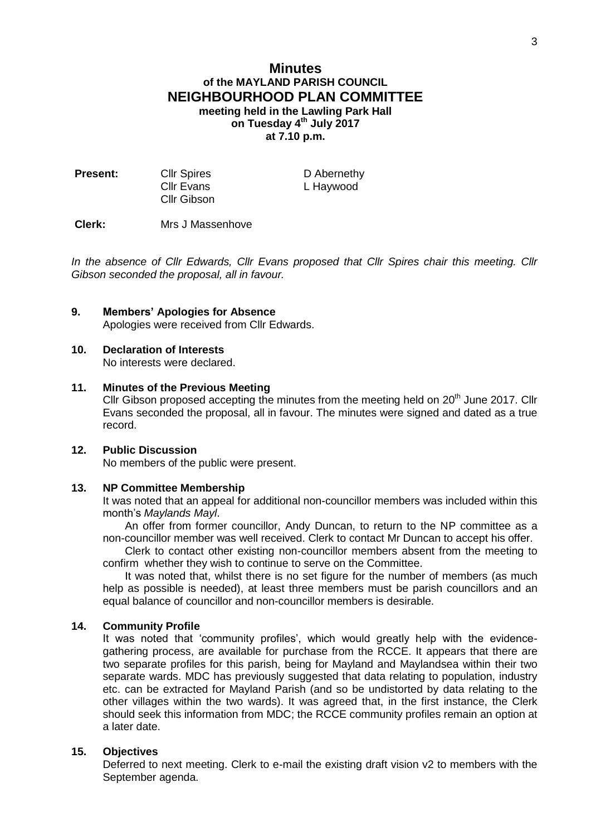# **Minutes of the MAYLAND PARISH COUNCIL NEIGHBOURHOOD PLAN COMMITTEE meeting held in the Lawling Park Hall on Tuesday 4th July 2017 at 7.10 p.m.**

| <b>Present:</b> | <b>Cllr Spires</b> | D Abernethy |
|-----------------|--------------------|-------------|
|                 | Cllr Evans         | L Haywood   |
|                 | <b>CIIr Gibson</b> |             |

**Clerk:** Mrs J Massenhove

*In the absence of Cllr Edwards, Cllr Evans proposed that Cllr Spires chair this meeting. Cllr Gibson seconded the proposal, all in favour.*

### **9. Members' Apologies for Absence**

Apologies were received from Cllr Edwards.

#### **10. Declaration of Interests**

No interests were declared.

#### **11. Minutes of the Previous Meeting**

Cllr Gibson proposed accepting the minutes from the meeting held on  $20<sup>th</sup>$  June 2017. Cllr Evans seconded the proposal, all in favour. The minutes were signed and dated as a true record.

### **12. Public Discussion**

No members of the public were present.

# **13. NP Committee Membership**

It was noted that an appeal for additional non-councillor members was included within this month's *Maylands Mayl*.

An offer from former councillor, Andy Duncan, to return to the NP committee as a non-councillor member was well received. Clerk to contact Mr Duncan to accept his offer.

Clerk to contact other existing non-councillor members absent from the meeting to confirm whether they wish to continue to serve on the Committee.

It was noted that, whilst there is no set figure for the number of members (as much help as possible is needed), at least three members must be parish councillors and an equal balance of councillor and non-councillor members is desirable.

### **14. Community Profile**

It was noted that 'community profiles', which would greatly help with the evidencegathering process, are available for purchase from the RCCE. It appears that there are two separate profiles for this parish, being for Mayland and Maylandsea within their two separate wards. MDC has previously suggested that data relating to population, industry etc. can be extracted for Mayland Parish (and so be undistorted by data relating to the other villages within the two wards). It was agreed that, in the first instance, the Clerk should seek this information from MDC; the RCCE community profiles remain an option at a later date.

### **15. Objectives**

Deferred to next meeting. Clerk to e-mail the existing draft vision v2 to members with the September agenda.